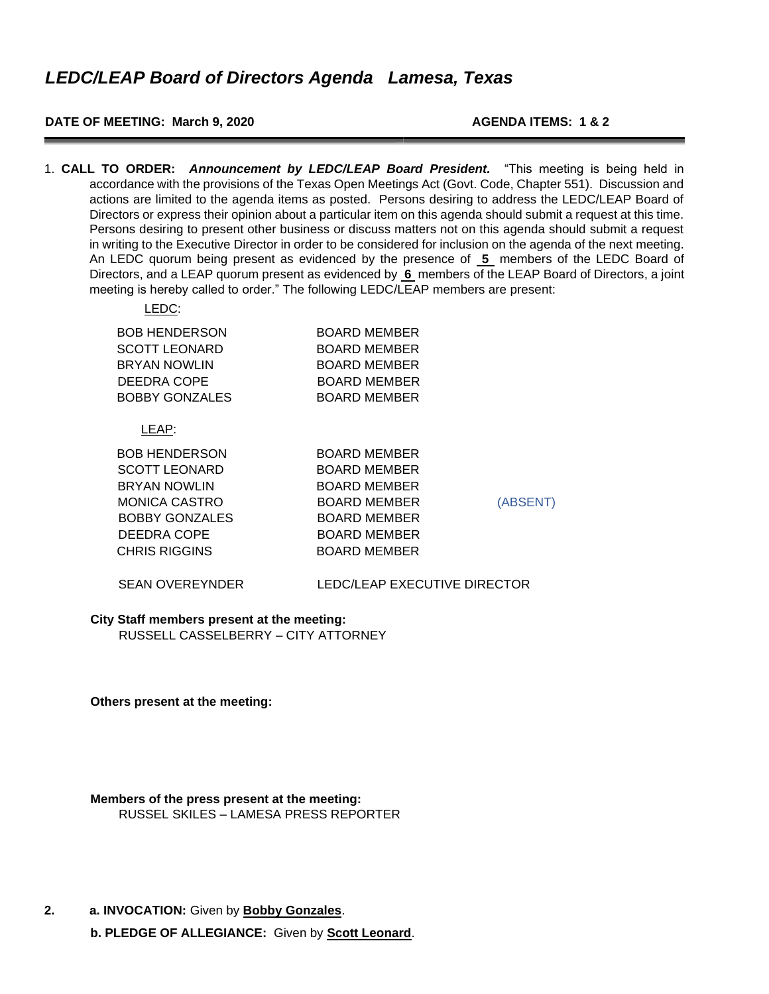#### **DATE OF MEETING: March 9, 2020 AGENDA ITEMS: 1 & 2**

1. **CALL TO ORDER:** *Announcement by LEDC/LEAP Board President.* "This meeting is being held in accordance with the provisions of the Texas Open Meetings Act (Govt. Code, Chapter 551). Discussion and actions are limited to the agenda items as posted. Persons desiring to address the LEDC/LEAP Board of Directors or express their opinion about a particular item on this agenda should submit a request at this time. Persons desiring to present other business or discuss matters not on this agenda should submit a request in writing to the Executive Director in order to be considered for inclusion on the agenda of the next meeting. An LEDC quorum being present as evidenced by the presence of **5** members of the LEDC Board of Directors, and a LEAP quorum present as evidenced by **6** members of the LEAP Board of Directors, a joint meeting is hereby called to order." The following LEDC/LEAP members are present:

| LEDC:                 |                     |          |
|-----------------------|---------------------|----------|
| <b>BOB HENDERSON</b>  | <b>BOARD MEMBER</b> |          |
| <b>SCOTT LEONARD</b>  | BOARD MEMBER        |          |
| <b>BRYAN NOWLIN</b>   | <b>BOARD MEMBER</b> |          |
| DEEDRA COPE           | BOARD MEMBER        |          |
| <b>BOBBY GONZALES</b> | BOARD MEMBER        |          |
|                       |                     |          |
| LEAP:                 |                     |          |
| <b>BOB HENDERSON</b>  | BOARD MEMBER        |          |
| SCOTT LEONARD         | BOARD MEMBER        |          |
| <b>BRYAN NOWLIN</b>   | BOARD MEMBER        |          |
| MONICA CASTRO         | BOARD MEMBER        | (ABSENT) |
| <b>BOBBY GONZALES</b> | BOARD MEMBER        |          |
| DEEDRA COPE           | <b>BOARD MEMBER</b> |          |
| <b>CHRIS RIGGINS</b>  | BOARD MEMBER        |          |
|                       |                     |          |
|                       |                     |          |

SEAN OVEREYNDER LEDC/LEAP EXECUTIVE DIRECTOR

**City Staff members present at the meeting:**  RUSSELL CASSELBERRY – CITY ATTORNEY

**Others present at the meeting:** 

**Members of the press present at the meeting:**  RUSSEL SKILES – LAMESA PRESS REPORTER

**2. a. INVOCATION:** Given by **Bobby Gonzales**.

**b. PLEDGE OF ALLEGIANCE:** Given by **Scott Leonard**.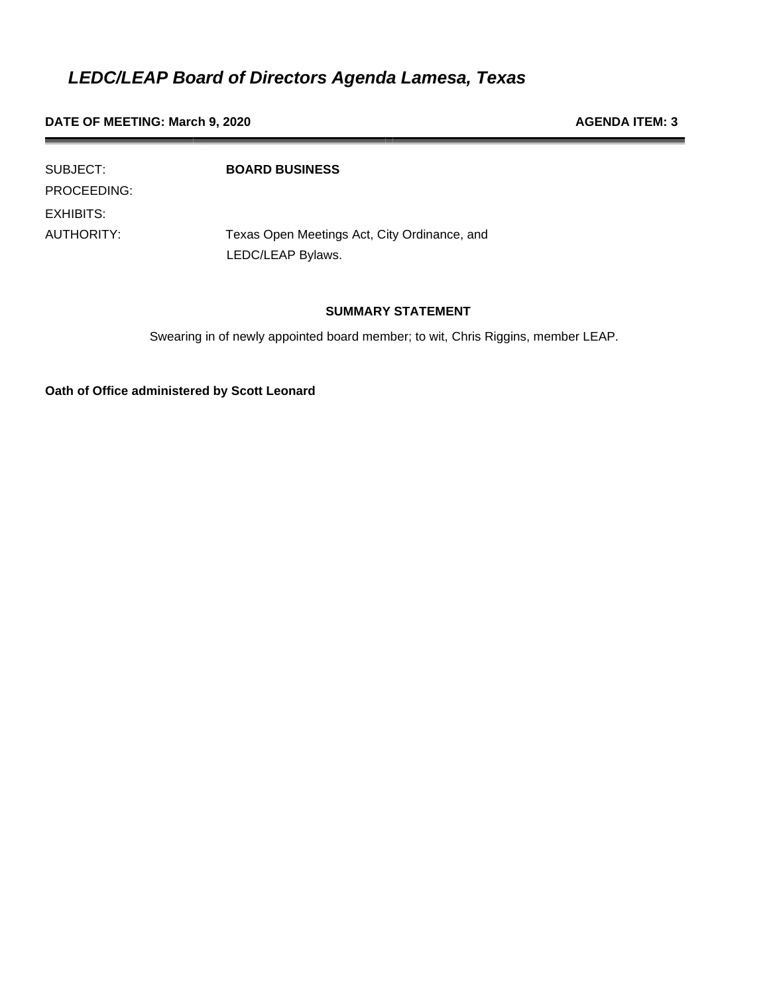**DATE OF MEETING: March 9, 2020 AGENDA ITEM: 3** 

| SUBJECT:    | <b>BOARD BUSINESS</b>                        |
|-------------|----------------------------------------------|
| PROCEEDING: |                                              |
| EXHIBITS:   |                                              |
| AUTHORITY:  | Texas Open Meetings Act, City Ordinance, and |
|             | LEDC/LEAP Bylaws.                            |

#### **SUMMARY STATEMENT**

Swearing in of newly appointed board member; to wit, Chris Riggins, member LEAP.

**Oath of Office administered by Scott Leonard**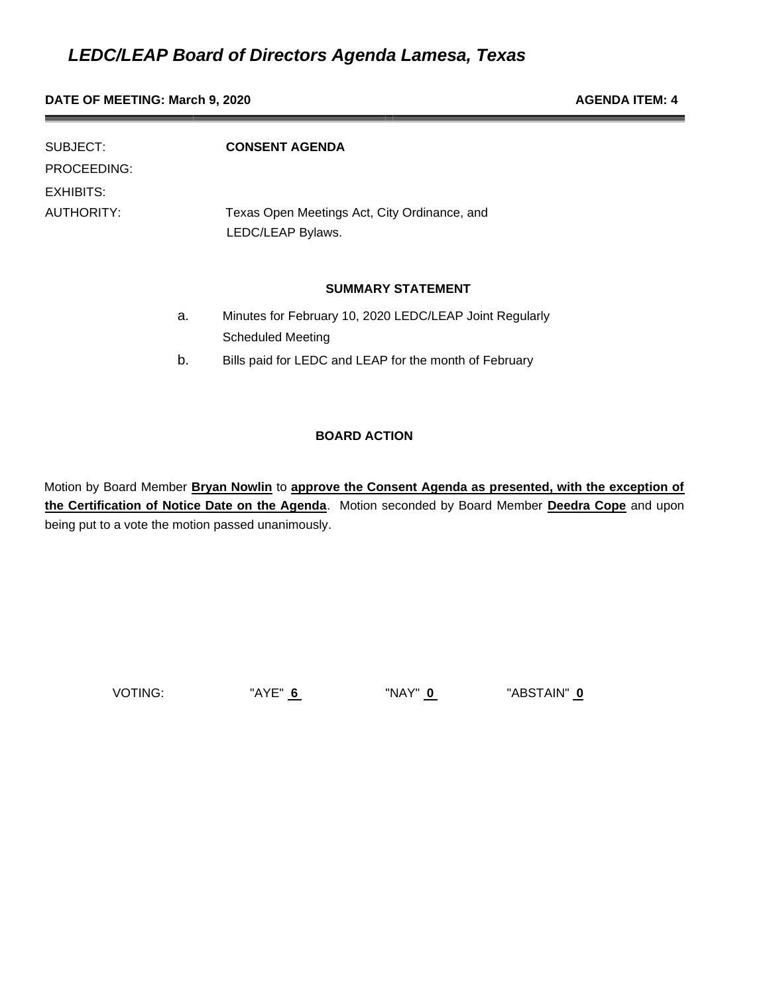#### **DATE OF MEETING: March 9, 2020 AGENDA ITEM: 4 AGENDA ITEM: 4**

| SUBJECT:<br>PROCEEDING:<br>EXHIBITS: |    | <b>CONSENT AGENDA</b>                                             |  |  |
|--------------------------------------|----|-------------------------------------------------------------------|--|--|
| AUTHORITY:                           |    | Texas Open Meetings Act, City Ordinance, and<br>LEDC/LEAP Bylaws. |  |  |
|                                      |    | <b>SUMMARY STATEMENT</b>                                          |  |  |
|                                      | a. | Minutes for February 10, 2020 LEDC/LEAP Joint Regularly           |  |  |
|                                      |    | <b>Scheduled Meeting</b>                                          |  |  |

b. Bills paid for LEDC and LEAP for the month of February

#### **BOARD ACTION**

Motion by Board Member **Bryan Nowlin** to **approve the Consent Agenda as presented, with the exception of the Certification of Notice Date on the Agenda**. Motion seconded by Board Member **Deedra Cope** and upon being put to a vote the motion passed unanimously.

VOTING: "AYE" **6** "NAY" **0** "ABSTAIN" **0**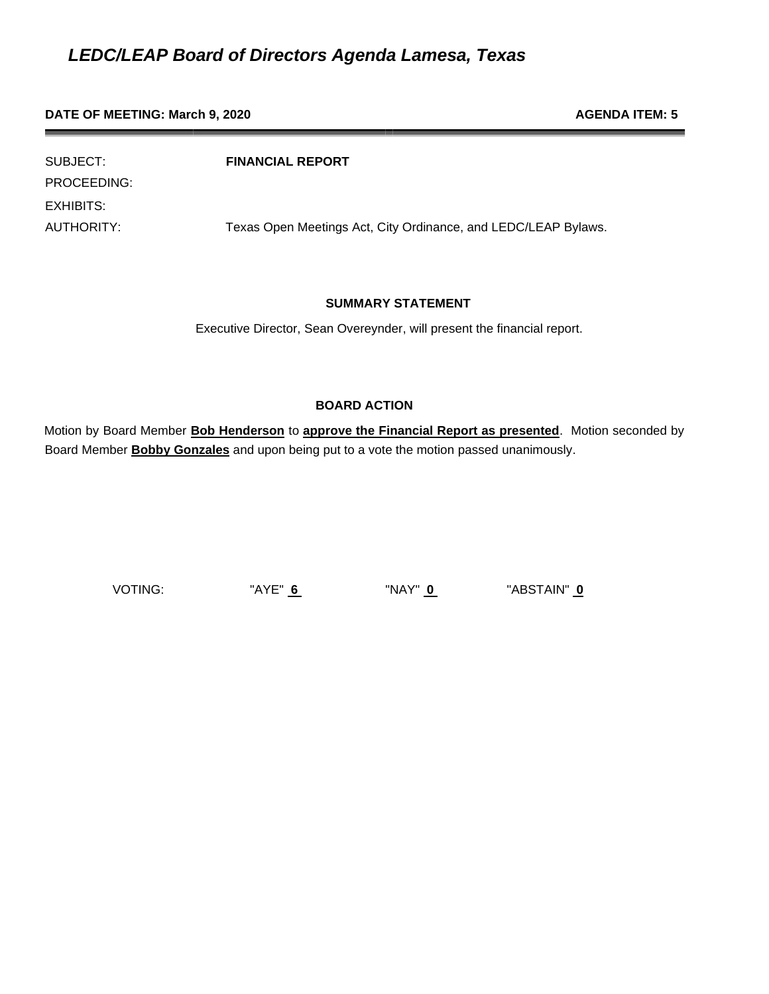#### **DATE OF MEETING: March 9, 2020 AGENDA ITEM: 5 AGENDA ITEM: 5**

SUBJECT: **FINANCIAL REPORT** PROCEEDING: EXHIBITS: AUTHORITY: Texas Open Meetings Act, City Ordinance, and LEDC/LEAP Bylaws.

#### **SUMMARY STATEMENT**

Executive Director, Sean Overeynder, will present the financial report.

### **BOARD ACTION**

Motion by Board Member **Bob Henderson** to **approve the Financial Report as presented**. Motion seconded by Board Member **Bobby Gonzales** and upon being put to a vote the motion passed unanimously.

VOTING: "AYE" **6** "NAY" **0** "ABSTAIN" **0**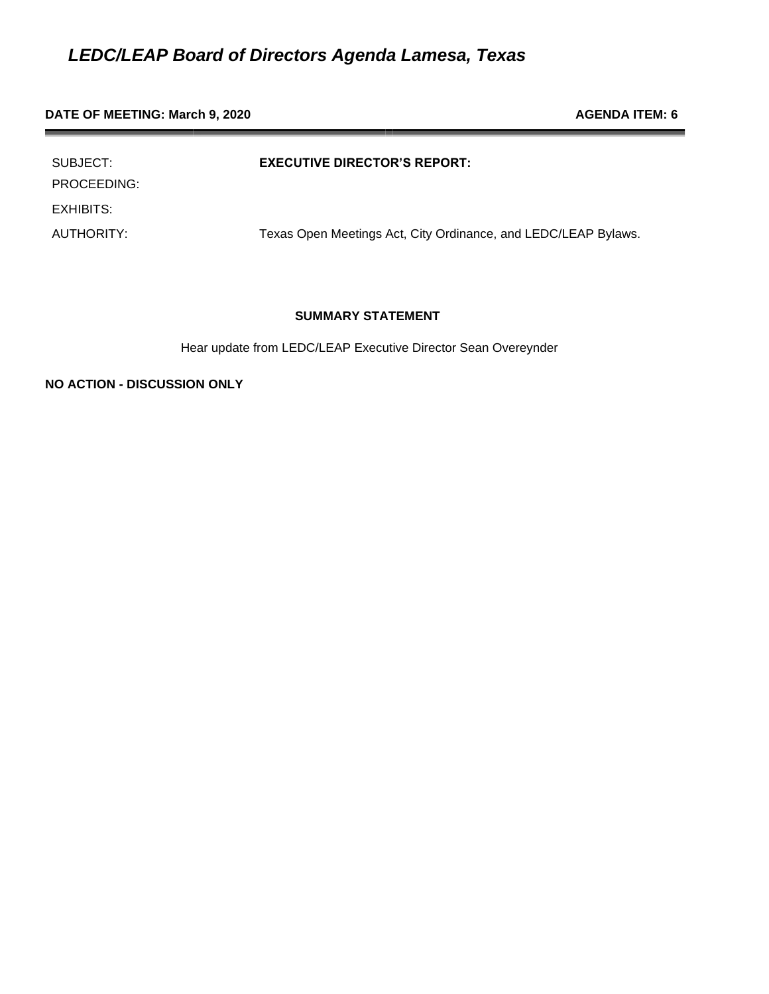#### **DATE OF MEETING: March 9, 2020 AGENDA ITEM: 6 AGENDA ITEM: 6**

| SUBJECT:<br>PROCEEDING: | <b>EXECUTIVE DIRECTOR'S REPORT:</b>                            |
|-------------------------|----------------------------------------------------------------|
| EXHIBITS:               |                                                                |
| AUTHORITY:              | Texas Open Meetings Act, City Ordinance, and LEDC/LEAP Bylaws. |

#### **SUMMARY STATEMENT**

Hear update from LEDC/LEAP Executive Director Sean Overeynder

**NO ACTION - DISCUSSION ONLY**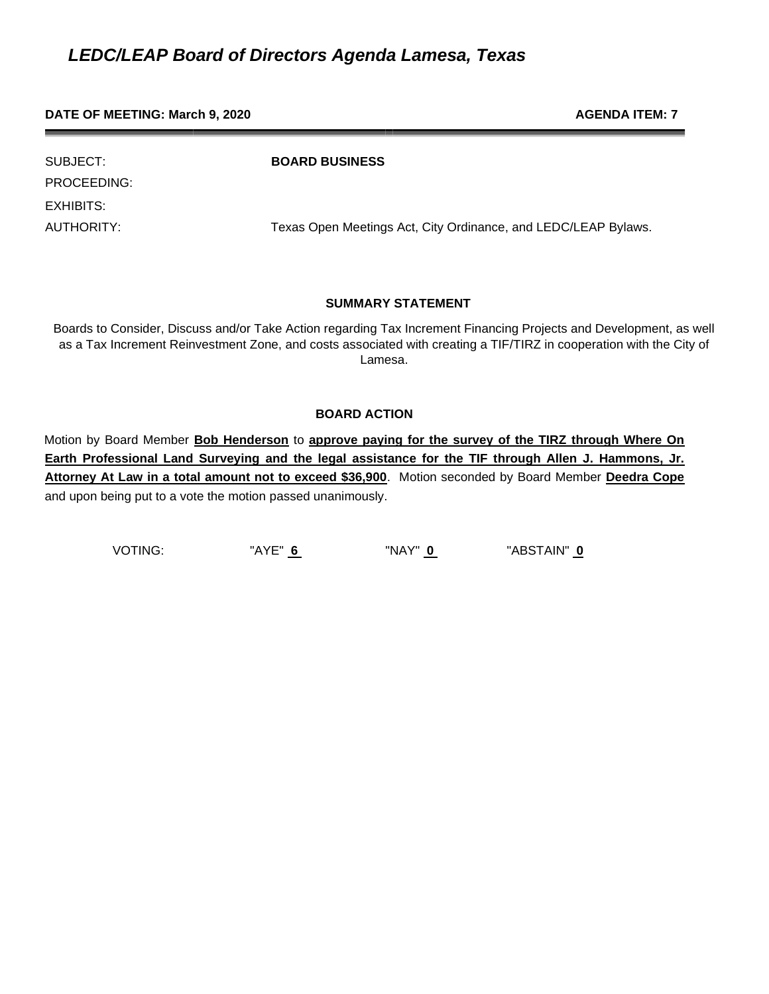#### **DATE OF MEETING: March 9, 2020 AGENDA ITEM: 7 AGENDA ITEM: 7**

PROCEEDING: EXHIBITS:

SUBJECT: **BOARD BUSINESS**

AUTHORITY: Texas Open Meetings Act, City Ordinance, and LEDC/LEAP Bylaws.

#### **SUMMARY STATEMENT**

Boards to Consider, Discuss and/or Take Action regarding Tax Increment Financing Projects and Development, as well as a Tax Increment Reinvestment Zone, and costs associated with creating a TIF/TIRZ in cooperation with the City of Lamesa.

#### **BOARD ACTION**

Motion by Board Member **Bob Henderson** to **approve paying for the survey of the TIRZ through Where On Earth Professional Land Surveying and the legal assistance for the TIF through Allen J. Hammons, Jr. Attorney At Law in a total amount not to exceed \$36,900**. Motion seconded by Board Member **Deedra Cope** and upon being put to a vote the motion passed unanimously.

VOTING: "AYE" **6** "NAY" **0** "ABSTAIN" **0**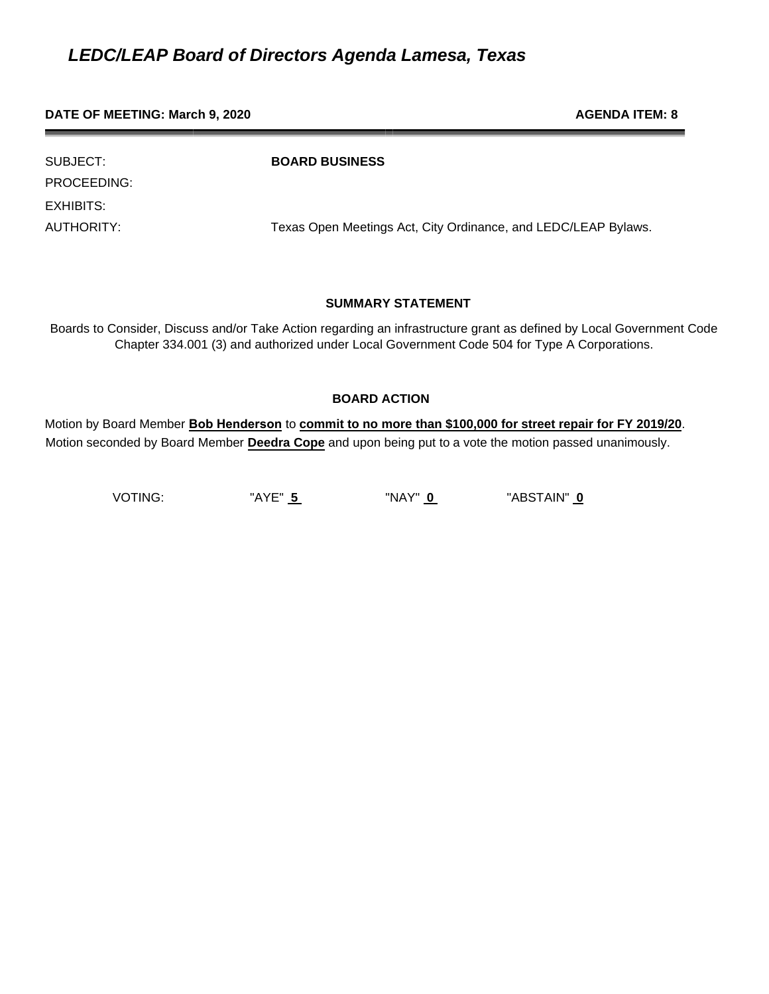#### **DATE OF MEETING: March 9, 2020 AGENDA ITEM: 8 AGENDA ITEM: 8**

PROCEEDING: EXHIBITS:

SUBJECT: **BOARD BUSINESS**

AUTHORITY: Texas Open Meetings Act, City Ordinance, and LEDC/LEAP Bylaws.

#### **SUMMARY STATEMENT**

Boards to Consider, Discuss and/or Take Action regarding an infrastructure grant as defined by Local Government Code Chapter 334.001 (3) and authorized under Local Government Code 504 for Type A Corporations.

#### **BOARD ACTION**

Motion by Board Member **Bob Henderson** to **commit to no more than \$100,000 for street repair for FY 2019/20**. Motion seconded by Board Member **Deedra Cope** and upon being put to a vote the motion passed unanimously.

VOTING: "AYE" **5** "NAY" **0** "ABSTAIN" **0**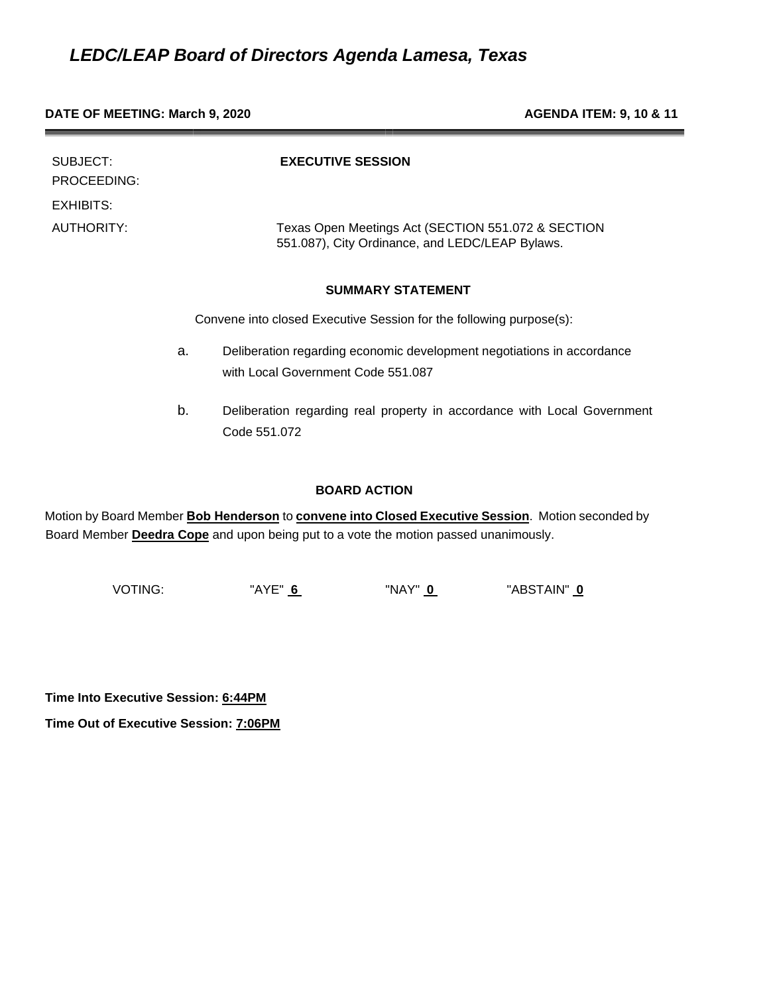#### **DATE OF MEETING: March 9, 2020 AGENDA ITEM: 9, 10 & 11**

| SUBJECT:<br>PROCEEDING: | <b>EXECUTIVE SESSION</b>                                                                                           |  |
|-------------------------|--------------------------------------------------------------------------------------------------------------------|--|
| EXHIBITS:               |                                                                                                                    |  |
| AUTHORITY:              | Texas Open Meetings Act (SECTION 551.072 & SECTION<br>551.087), City Ordinance, and LEDC/LEAP Bylaws.              |  |
|                         | <b>SUMMARY STATEMENT</b>                                                                                           |  |
|                         | Convene into closed Executive Session for the following purpose(s):                                                |  |
|                         | Deliberation regarding economic development negotiations in accordance<br>a.<br>with Local Government Code 551.087 |  |
|                         | b.<br>Deliberation regarding real property in accordance with Local Government<br>Code 551.072                     |  |

#### **BOARD ACTION**

Motion by Board Member **Bob Henderson** to **convene into Closed Executive Session**. Motion seconded by Board Member **Deedra Cope** and upon being put to a vote the motion passed unanimously.

VOTING: "AYE" **6** "NAY" **0** "ABSTAIN" **0** 

**Time Into Executive Session: 6:44PM**

**Time Out of Executive Session: 7:06PM**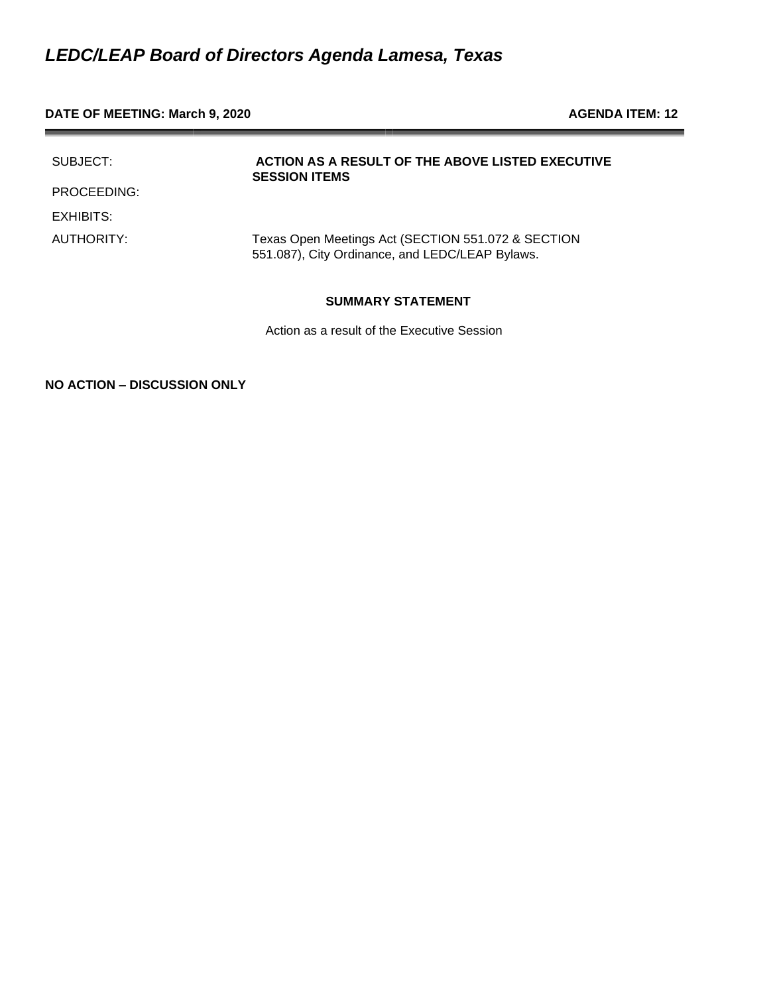#### **DATE OF MEETING: March 9, 2020 AGENDA ITEM: 12**

| SUBJECT:    | <b>ACTION AS A RESULT OF THE ABOVE LISTED EXECUTIVE</b><br><b>SESSION ITEMS</b>                       |
|-------------|-------------------------------------------------------------------------------------------------------|
| PROCEEDING: |                                                                                                       |
| EXHIBITS:   |                                                                                                       |
| AUTHORITY:  | Texas Open Meetings Act (SECTION 551.072 & SECTION<br>551.087), City Ordinance, and LEDC/LEAP Bylaws. |

#### **SUMMARY STATEMENT**

Action as a result of the Executive Session

**NO ACTION – DISCUSSION ONLY**